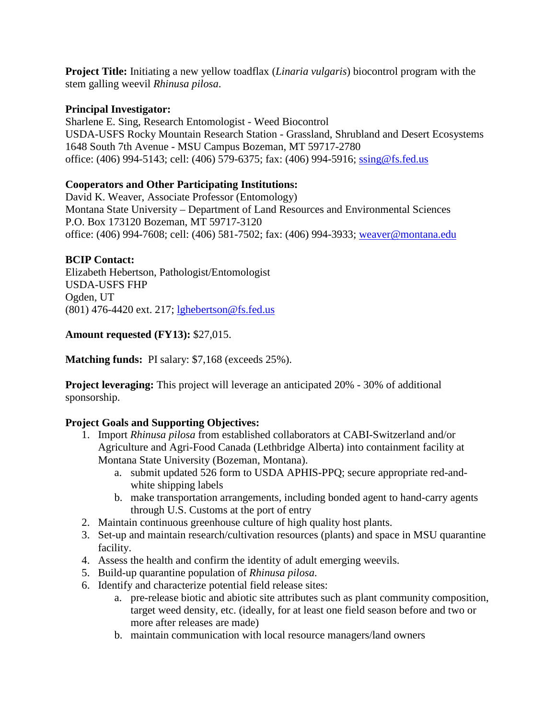**Project Title:** Initiating a new yellow toadflax (*Linaria vulgaris*) biocontrol program with the stem galling weevil *Rhinusa pilosa*.

## **Principal Investigator:**

Sharlene E. Sing, Research Entomologist - Weed Biocontrol USDA-USFS Rocky Mountain Research Station - Grassland, Shrubland and Desert Ecosystems 1648 South 7th Avenue - MSU Campus Bozeman, MT 59717-2780 office: (406) 994-5143; cell: (406) 579-6375; fax: (406) 994-5916; [ssing@fs.fed.us](mailto:ssing@fs.fed.us)

# **Cooperators and Other Participating Institutions:**

David K. Weaver, Associate Professor (Entomology) Montana State University – Department of Land Resources and Environmental Sciences P.O. Box 173120 Bozeman, MT 59717-3120 office: (406) 994-7608; cell: (406) 581-7502; fax: (406) 994-3933; [weaver@montana.edu](mailto:weaver@montana.edu)

## **BCIP Contact:**

Elizabeth Hebertson, Pathologist/Entomologist USDA-USFS FHP Ogden, UT (801) 476-4420 ext. 217; [lghebertson@fs.fed.us](mailto:lghebertson@fs.fed.us)

## **Amount requested (FY13):** \$27,015.

**Matching funds:** PI salary: \$7,168 (exceeds 25%).

**Project leveraging:** This project will leverage an anticipated 20% - 30% of additional sponsorship.

# **Project Goals and Supporting Objectives:**

- 1. Import *Rhinusa pilosa* from established collaborators at CABI-Switzerland and/or Agriculture and Agri-Food Canada (Lethbridge Alberta) into containment facility at Montana State University (Bozeman, Montana).
	- a. submit updated 526 form to USDA APHIS-PPQ; secure appropriate red-andwhite shipping labels
	- b. make transportation arrangements, including bonded agent to hand-carry agents through U.S. Customs at the port of entry
- 2. Maintain continuous greenhouse culture of high quality host plants.
- 3. Set-up and maintain research/cultivation resources (plants) and space in MSU quarantine facility.
- 4. Assess the health and confirm the identity of adult emerging weevils.
- 5. Build-up quarantine population of *Rhinusa pilosa*.
- 6. Identify and characterize potential field release sites:
	- a. pre-release biotic and abiotic site attributes such as plant community composition, target weed density, etc. (ideally, for at least one field season before and two or more after releases are made)
	- b. maintain communication with local resource managers/land owners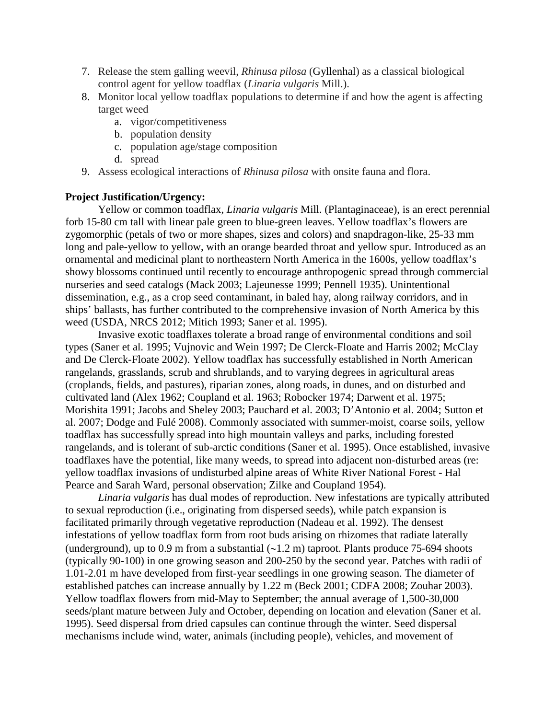- 7. Release the stem galling weevil, *Rhinusa pilosa* (Gyllenhal) as a classical biological control agent for yellow toadflax (*Linaria vulgaris* Mill.).
- 8. Monitor local yellow toadflax populations to determine if and how the agent is affecting target weed
	- a. vigor/competitiveness
	- b. population density
	- c. population age/stage composition
	- d. spread
- 9. Assess ecological interactions of *Rhinusa pilosa* with onsite fauna and flora.

#### **Project Justification/Urgency:**

Yellow or common toadflax, *Linaria vulgaris* Mill. (Plantaginaceae), is an erect perennial forb 15-80 cm tall with linear pale green to blue-green leaves. Yellow toadflax's flowers are zygomorphic (petals of two or more shapes, sizes and colors) and snapdragon-like, 25-33 mm long and pale-yellow to yellow, with an orange bearded throat and yellow spur. Introduced as an ornamental and medicinal plant to northeastern North America in the 1600s, yellow toadflax's showy blossoms continued until recently to encourage anthropogenic spread through commercial nurseries and seed catalogs (Mack 2003; Lajeunesse 1999; Pennell 1935). Unintentional dissemination, e.g., as a crop seed contaminant, in baled hay, along railway corridors, and in ships' ballasts, has further contributed to the comprehensive invasion of North America by this weed (USDA, NRCS 2012; Mitich 1993; Saner et al. 1995).

Invasive exotic toadflaxes tolerate a broad range of environmental conditions and soil types (Saner et al. 1995; Vujnovic and Wein 1997; De Clerck-Floate and Harris 2002; McClay and De Clerck-Floate 2002). Yellow toadflax has successfully established in North American rangelands, grasslands, scrub and shrublands, and to varying degrees in agricultural areas (croplands, fields, and pastures), riparian zones, along roads, in dunes, and on disturbed and cultivated land (Alex 1962; Coupland et al. 1963; Robocker 1974; Darwent et al. 1975; Morishita 1991; Jacobs and Sheley 2003; Pauchard et al. 2003; D'Antonio et al. 2004; Sutton et al. 2007; Dodge and Fulé 2008). Commonly associated with summer-moist, coarse soils, yellow toadflax has successfully spread into high mountain valleys and parks, including forested rangelands, and is tolerant of sub-arctic conditions (Saner et al. 1995). Once established, invasive toadflaxes have the potential, like many weeds, to spread into adjacent non-disturbed areas (re: yellow toadflax invasions of undisturbed alpine areas of White River National Forest - Hal Pearce and Sarah Ward, personal observation; Zilke and Coupland 1954).

*Linaria vulgaris* has dual modes of reproduction. New infestations are typically attributed to sexual reproduction (i.e., originating from dispersed seeds), while patch expansion is facilitated primarily through vegetative reproduction (Nadeau et al. 1992). The densest infestations of yellow toadflax form from root buds arising on rhizomes that radiate laterally (underground), up to 0.9 m from a substantial (∼1.2 m) taproot. Plants produce 75-694 shoots (typically 90-100) in one growing season and 200-250 by the second year. Patches with radii of 1.01-2.01 m have developed from first-year seedlings in one growing season. The diameter of established patches can increase annually by 1.22 m (Beck 2001; CDFA 2008; Zouhar 2003). Yellow toadflax flowers from mid-May to September; the annual average of 1,500-30,000 seeds/plant mature between July and October, depending on location and elevation (Saner et al. 1995). Seed dispersal from dried capsules can continue through the winter. Seed dispersal mechanisms include wind, water, animals (including people), vehicles, and movement of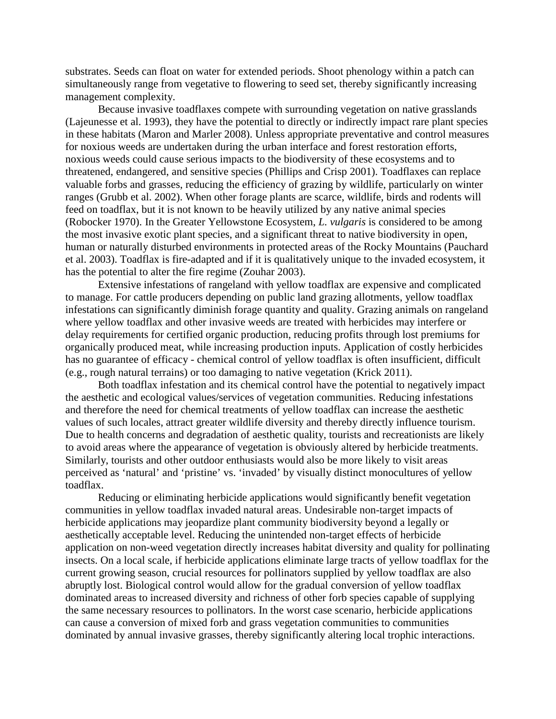substrates. Seeds can float on water for extended periods. Shoot phenology within a patch can simultaneously range from vegetative to flowering to seed set, thereby significantly increasing management complexity.

Because invasive toadflaxes compete with surrounding vegetation on native grasslands (Lajeunesse et al. 1993), they have the potential to directly or indirectly impact rare plant species in these habitats (Maron and Marler 2008). Unless appropriate preventative and control measures for noxious weeds are undertaken during the urban interface and forest restoration efforts, noxious weeds could cause serious impacts to the biodiversity of these ecosystems and to threatened, endangered, and sensitive species (Phillips and Crisp 2001). Toadflaxes can replace valuable forbs and grasses, reducing the efficiency of grazing by wildlife, particularly on winter ranges (Grubb et al. 2002). When other forage plants are scarce, wildlife, birds and rodents will feed on toadflax, but it is not known to be heavily utilized by any native animal species (Robocker 1970). In the Greater Yellowstone Ecosystem, *L. vulgaris* is considered to be among the most invasive exotic plant species, and a significant threat to native biodiversity in open, human or naturally disturbed environments in protected areas of the Rocky Mountains (Pauchard et al. 2003). Toadflax is fire-adapted and if it is qualitatively unique to the invaded ecosystem, it has the potential to alter the fire regime (Zouhar 2003).

Extensive infestations of rangeland with yellow toadflax are expensive and complicated to manage. For cattle producers depending on public land grazing allotments, yellow toadflax infestations can significantly diminish forage quantity and quality. Grazing animals on rangeland where yellow toadflax and other invasive weeds are treated with herbicides may interfere or delay requirements for certified organic production, reducing profits through lost premiums for organically produced meat, while increasing production inputs. Application of costly herbicides has no guarantee of efficacy - chemical control of yellow toadflax is often insufficient, difficult (e.g., rough natural terrains) or too damaging to native vegetation (Krick 2011).

Both toadflax infestation and its chemical control have the potential to negatively impact the aesthetic and ecological values/services of vegetation communities. Reducing infestations and therefore the need for chemical treatments of yellow toadflax can increase the aesthetic values of such locales, attract greater wildlife diversity and thereby directly influence tourism. Due to health concerns and degradation of aesthetic quality, tourists and recreationists are likely to avoid areas where the appearance of vegetation is obviously altered by herbicide treatments. Similarly, tourists and other outdoor enthusiasts would also be more likely to visit areas perceived as 'natural' and 'pristine' vs. 'invaded' by visually distinct monocultures of yellow toadflax.

Reducing or eliminating herbicide applications would significantly benefit vegetation communities in yellow toadflax invaded natural areas. Undesirable non-target impacts of herbicide applications may jeopardize plant community biodiversity beyond a legally or aesthetically acceptable level. Reducing the unintended non-target effects of herbicide application on non-weed vegetation directly increases habitat diversity and quality for pollinating insects. On a local scale, if herbicide applications eliminate large tracts of yellow toadflax for the current growing season, crucial resources for pollinators supplied by yellow toadflax are also abruptly lost. Biological control would allow for the gradual conversion of yellow toadflax dominated areas to increased diversity and richness of other forb species capable of supplying the same necessary resources to pollinators. In the worst case scenario, herbicide applications can cause a conversion of mixed forb and grass vegetation communities to communities dominated by annual invasive grasses, thereby significantly altering local trophic interactions.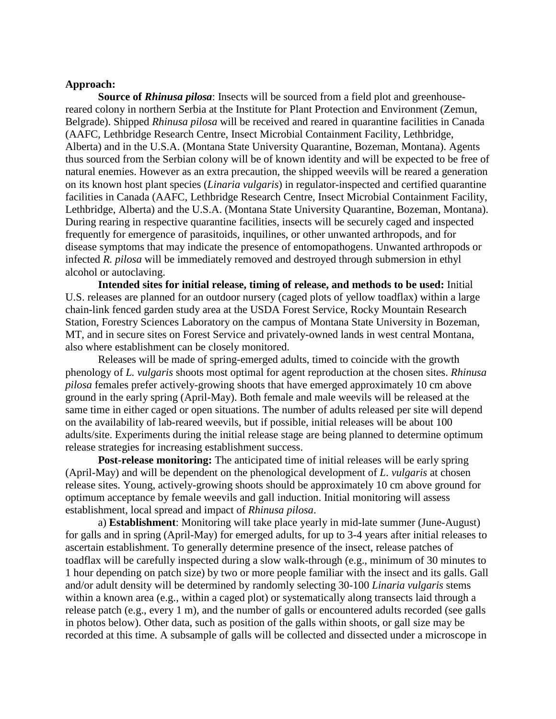#### **Approach:**

**Source of** *Rhinusa pilosa*: Insects will be sourced from a field plot and greenhousereared colony in northern Serbia at the Institute for Plant Protection and Environment (Zemun, Belgrade). Shipped *Rhinusa pilosa* will be received and reared in quarantine facilities in Canada (AAFC, Lethbridge Research Centre, Insect Microbial Containment Facility, Lethbridge, Alberta) and in the U.S.A. (Montana State University Quarantine, Bozeman, Montana). Agents thus sourced from the Serbian colony will be of known identity and will be expected to be free of natural enemies. However as an extra precaution, the shipped weevils will be reared a generation on its known host plant species (*Linaria vulgaris*) in regulator-inspected and certified quarantine facilities in Canada (AAFC, Lethbridge Research Centre, Insect Microbial Containment Facility, Lethbridge, Alberta) and the U.S.A. (Montana State University Quarantine, Bozeman, Montana). During rearing in respective quarantine facilities, insects will be securely caged and inspected frequently for emergence of parasitoids, inquilines, or other unwanted arthropods, and for disease symptoms that may indicate the presence of entomopathogens. Unwanted arthropods or infected *R. pilosa* will be immediately removed and destroyed through submersion in ethyl alcohol or autoclaving.

**Intended sites for initial release, timing of release, and methods to be used:** Initial U.S. releases are planned for an outdoor nursery (caged plots of yellow toadflax) within a large chain-link fenced garden study area at the USDA Forest Service, Rocky Mountain Research Station, Forestry Sciences Laboratory on the campus of Montana State University in Bozeman, MT, and in secure sites on Forest Service and privately-owned lands in west central Montana, also where establishment can be closely monitored.

Releases will be made of spring-emerged adults, timed to coincide with the growth phenology of *L. vulgaris* shoots most optimal for agent reproduction at the chosen sites. *Rhinusa pilosa* females prefer actively-growing shoots that have emerged approximately 10 cm above ground in the early spring (April-May). Both female and male weevils will be released at the same time in either caged or open situations. The number of adults released per site will depend on the availability of lab-reared weevils, but if possible, initial releases will be about 100 adults/site. Experiments during the initial release stage are being planned to determine optimum release strategies for increasing establishment success.

**Post-release monitoring:** The anticipated time of initial releases will be early spring (April-May) and will be dependent on the phenological development of *L*. *vulgaris* at chosen release sites. Young, actively-growing shoots should be approximately 10 cm above ground for optimum acceptance by female weevils and gall induction. Initial monitoring will assess establishment, local spread and impact of *Rhinusa pilosa*.

a) **Establishment**: Monitoring will take place yearly in mid-late summer (June-August) for galls and in spring (April-May) for emerged adults, for up to 3-4 years after initial releases to ascertain establishment. To generally determine presence of the insect, release patches of toadflax will be carefully inspected during a slow walk-through (e.g., minimum of 30 minutes to 1 hour depending on patch size) by two or more people familiar with the insect and its galls. Gall and/or adult density will be determined by randomly selecting 30-100 *Linaria vulgaris* stems within a known area (e.g., within a caged plot) or systematically along transects laid through a release patch (e.g., every 1 m), and the number of galls or encountered adults recorded (see galls in photos below). Other data, such as position of the galls within shoots, or gall size may be recorded at this time. A subsample of galls will be collected and dissected under a microscope in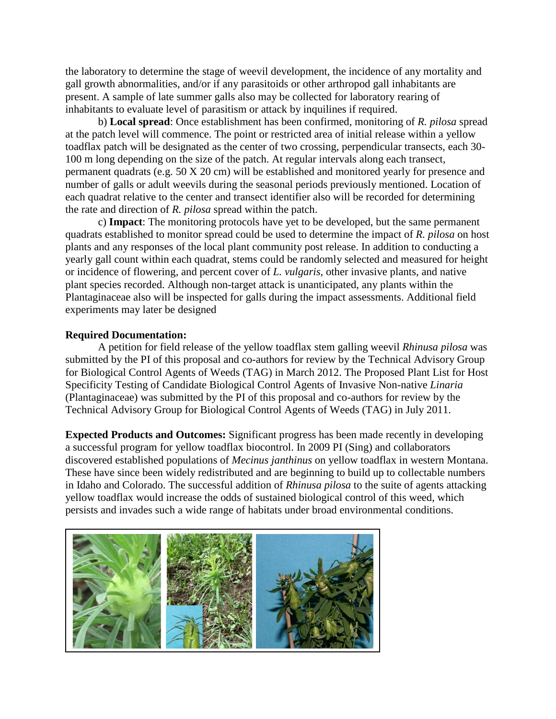the laboratory to determine the stage of weevil development, the incidence of any mortality and gall growth abnormalities, and/or if any parasitoids or other arthropod gall inhabitants are present. A sample of late summer galls also may be collected for laboratory rearing of inhabitants to evaluate level of parasitism or attack by inquilines if required.

b) **Local spread**: Once establishment has been confirmed, monitoring of *R. pilosa* spread at the patch level will commence. The point or restricted area of initial release within a yellow toadflax patch will be designated as the center of two crossing, perpendicular transects, each 30- 100 m long depending on the size of the patch. At regular intervals along each transect, permanent quadrats (e.g. 50 X 20 cm) will be established and monitored yearly for presence and number of galls or adult weevils during the seasonal periods previously mentioned. Location of each quadrat relative to the center and transect identifier also will be recorded for determining the rate and direction of *R. pilosa* spread within the patch.

c) **Impact**: The monitoring protocols have yet to be developed, but the same permanent quadrats established to monitor spread could be used to determine the impact of *R. pilosa* on host plants and any responses of the local plant community post release. In addition to conducting a yearly gall count within each quadrat, stems could be randomly selected and measured for height or incidence of flowering, and percent cover of *L. vulgaris*, other invasive plants, and native plant species recorded. Although non-target attack is unanticipated, any plants within the Plantaginaceae also will be inspected for galls during the impact assessments. Additional field experiments may later be designed

### **Required Documentation:**

A petition for field release of the yellow toadflax stem galling weevil *Rhinusa pilosa* was submitted by the PI of this proposal and co-authors for review by the Technical Advisory Group for Biological Control Agents of Weeds (TAG) in March 2012. The Proposed Plant List for Host Specificity Testing of Candidate Biological Control Agents of Invasive Non-native *Linaria* (Plantaginaceae) was submitted by the PI of this proposal and co-authors for review by the Technical Advisory Group for Biological Control Agents of Weeds (TAG) in July 2011.

**Expected Products and Outcomes:** Significant progress has been made recently in developing a successful program for yellow toadflax biocontrol. In 2009 PI (Sing) and collaborators discovered established populations of *Mecinus janthinus* on yellow toadflax in western Montana. These have since been widely redistributed and are beginning to build up to collectable numbers in Idaho and Colorado. The successful addition of *Rhinusa pilosa* to the suite of agents attacking yellow toadflax would increase the odds of sustained biological control of this weed, which persists and invades such a wide range of habitats under broad environmental conditions.

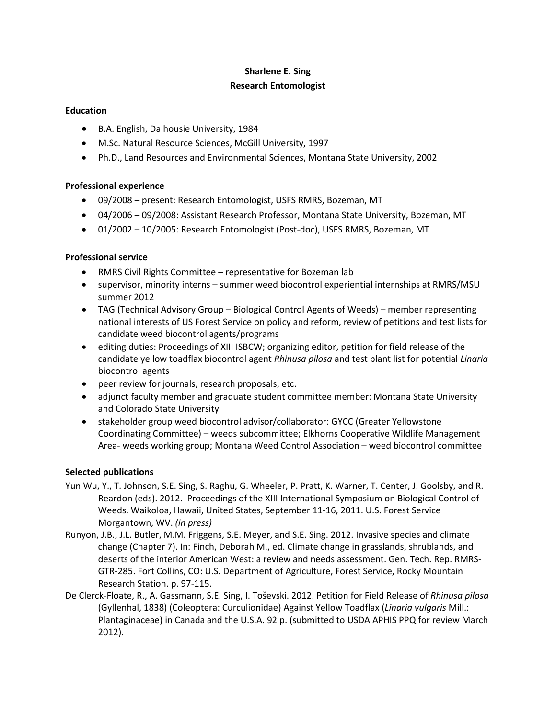### **Sharlene E. Sing Research Entomologist**

#### **Education**

- B.A. English, Dalhousie University, 1984
- M.Sc. Natural Resource Sciences, McGill University, 1997
- Ph.D., Land Resources and Environmental Sciences, Montana State University, 2002

#### **Professional experience**

- 09/2008 present: Research Entomologist, USFS RMRS, Bozeman, MT
- 04/2006 09/2008: Assistant Research Professor, Montana State University, Bozeman, MT
- 01/2002 10/2005: Research Entomologist (Post-doc), USFS RMRS, Bozeman, MT

#### **Professional service**

- RMRS Civil Rights Committee representative for Bozeman lab
- supervisor, minority interns summer weed biocontrol experiential internships at RMRS/MSU summer 2012
- TAG (Technical Advisory Group Biological Control Agents of Weeds) member representing national interests of US Forest Service on policy and reform, review of petitions and test lists for candidate weed biocontrol agents/programs
- editing duties: Proceedings of XIII ISBCW; organizing editor, petition for field release of the candidate yellow toadflax biocontrol agent *Rhinusa pilosa* and test plant list for potential *Linaria* biocontrol agents
- peer review for journals, research proposals, etc.
- adjunct faculty member and graduate student committee member: Montana State University and Colorado State University
- stakeholder group weed biocontrol advisor/collaborator: GYCC (Greater Yellowstone Coordinating Committee) – weeds subcommittee; Elkhorns Cooperative Wildlife Management Area- weeds working group; Montana Weed Control Association – weed biocontrol committee

#### **Selected publications**

- Yun Wu, Y., T. Johnson, S.E. Sing, S. Raghu, G. Wheeler, P. Pratt, K. Warner, T. Center, J. Goolsby, and R. Reardon (eds). 2012. Proceedings of the XIII International Symposium on Biological Control of Weeds. Waikoloa, Hawaii, United States, September 11-16, 2011. U.S. Forest Service Morgantown, WV. *(in press)*
- Runyon, J.B., J.L. Butler, M.M. Friggens, S.E. Meyer, and S.E. Sing. 2012. Invasive species and climate change (Chapter 7). In: Finch, Deborah M., ed. Climate change in grasslands, shrublands, and deserts of the interior American West: a review and needs assessment. Gen. Tech. Rep. RMRS-GTR-285. Fort Collins, CO: U.S. Department of Agriculture, Forest Service, Rocky Mountain Research Station. p. 97-115.
- De Clerck-Floate, R., A. Gassmann, S.E. Sing, I. Toševski. 2012. Petition for Field Release of *Rhinusa pilosa* (Gyllenhal, 1838) (Coleoptera: Curculionidae) Against Yellow Toadflax (*Linaria vulgaris* Mill.: Plantaginaceae) in Canada and the U.S.A. 92 p. (submitted to USDA APHIS PPQ for review March 2012).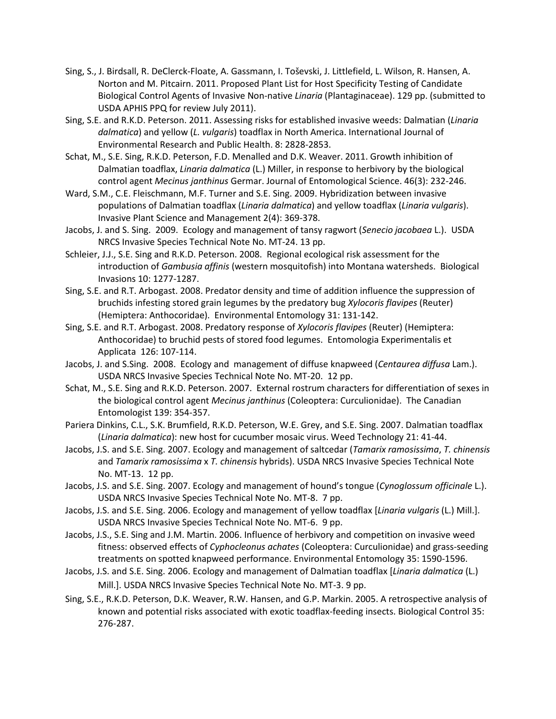- Sing, S., J. Birdsall, R. DeClerck-Floate, A. Gassmann, I. Toševski, J. Littlefield, L. Wilson, R. Hansen, A. Norton and M. Pitcairn. 2011. Proposed Plant List for Host Specificity Testing of Candidate Biological Control Agents of Invasive Non-native *Linaria* (Plantaginaceae). 129 pp. (submitted to USDA APHIS PPQ for review July 2011).
- Sing, S.E. and R.K.D. Peterson. 2011. Assessing risks for established invasive weeds: Dalmatian (*Linaria dalmatica*) and yellow (*L. vulgaris*) toadflax in North America. International Journal of Environmental Research and Public Health. 8: 2828-2853.
- Schat, M., S.E. Sing, R.K.D. Peterson, F.D. Menalled and D.K. Weaver. 2011. Growth inhibition of Dalmatian toadflax, *Linaria dalmatica* (L.) Miller, in response to herbivory by the biological control agent *Mecinus janthinus* Germar. Journal of Entomological Science. 46(3): 232-246.
- Ward, S.M., C.E. Fleischmann, M.F. Turner and S.E. Sing. 2009. Hybridization between invasive populations of Dalmatian toadflax (*Linaria dalmatica*) and yellow toadflax (*Linaria vulgaris*). Invasive Plant Science and Management 2(4): 369-378.
- Jacobs, J. and S. Sing. 2009. Ecology and management of tansy ragwort (*Senecio jacobaea* L.). USDA NRCS Invasive Species Technical Note No. MT-24. 13 pp.
- Schleier, J.J., S.E. Sing and R.K.D. Peterson. 2008. Regional ecological risk assessment for the introduction of *Gambusia affinis* (western mosquitofish) into Montana watersheds. Biological Invasions 10: 1277-1287.
- Sing, S.E. and R.T. Arbogast. 2008. Predator density and time of addition influence the suppression of bruchids infesting stored grain legumes by the predatory bug *Xylocoris flavipes* (Reuter) (Hemiptera: Anthocoridae). Environmental Entomology 31: 131-142.
- Sing, S.E. and R.T. Arbogast. 2008. Predatory response of *Xylocoris flavipes* (Reuter) (Hemiptera: Anthocoridae) to bruchid pests of stored food legumes. Entomologia Experimentalis et Applicata 126: 107-114.
- Jacobs, J. and S.Sing. 2008. Ecology and management of diffuse knapweed (*Centaurea diffusa* Lam.). USDA NRCS Invasive Species Technical Note No. MT-20. 12 pp.
- Schat, M., S.E. Sing and R.K.D. Peterson. 2007. External rostrum characters for differentiation of sexes in the biological control agent *Mecinus janthinus* (Coleoptera: Curculionidae). The Canadian Entomologist 139: 354-357.
- Pariera Dinkins, C.L., S.K. Brumfield, R.K.D. Peterson, W.E. Grey, and S.E. Sing. 2007. Dalmatian toadflax (*Linaria dalmatica*): new host for cucumber mosaic virus. Weed Technology 21: 41-44.
- Jacobs, J.S. and S.E. Sing. 2007. Ecology and management of saltcedar (*Tamarix ramosissima*, *T. chinensis*  and *Tamarix ramosissima* x *T. chinensis* hybrids). USDA NRCS Invasive Species Technical Note No. MT-13. 12 pp.
- Jacobs, J.S. and S.E. Sing. 2007. Ecology and management of hound's tongue (*Cynoglossum officinale* L.). USDA NRCS Invasive Species Technical Note No. MT-8. 7 pp.
- Jacobs, J.S. and S.E. Sing. 2006. Ecology and management of yellow toadflax [*Linaria vulgaris* (L.) Mill.]. USDA NRCS Invasive Species Technical Note No. MT-6. 9 pp.
- Jacobs, J.S., S.E. Sing and J.M. Martin. 2006. Influence of herbivory and competition on invasive weed fitness: observed effects of *Cyphocleonus achates* (Coleoptera: Curculionidae) and grass-seeding treatments on spotted knapweed performance. Environmental Entomology 35: 1590-1596.
- Jacobs, J.S. and S.E. Sing. 2006. Ecology and management of Dalmatian toadflax [*Linaria dalmatica* (L.) Mill.]. USDA NRCS Invasive Species Technical Note No. MT-3. 9 pp.
- Sing, S.E., R.K.D. Peterson, D.K. Weaver, R.W. Hansen, and G.P. Markin. 2005. A retrospective analysis of known and potential risks associated with exotic toadflax-feeding insects. Biological Control 35: 276-287.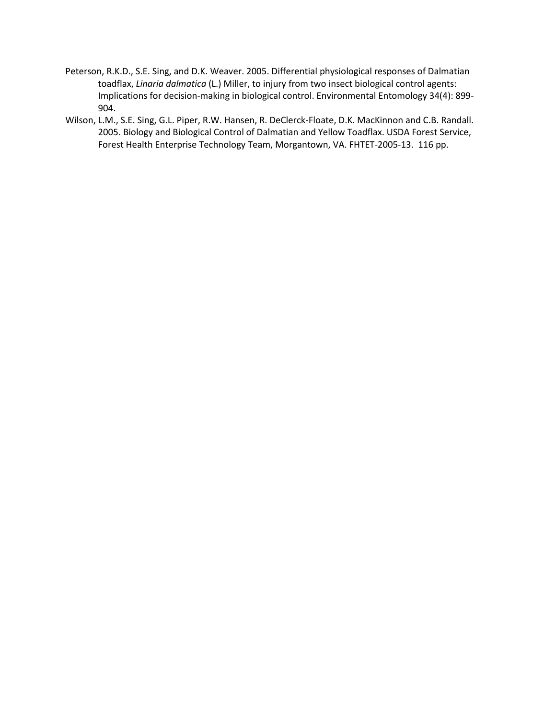- Peterson, R.K.D., S.E. Sing, and D.K. Weaver. 2005. Differential physiological responses of Dalmatian toadflax, *Linaria dalmatica* (L.) Miller, to injury from two insect biological control agents: Implications for decision-making in biological control. Environmental Entomology 34(4): 899- 904.
- Wilson, L.M., S.E. Sing, G.L. Piper, R.W. Hansen, R. DeClerck-Floate, D.K. MacKinnon and C.B. Randall. 2005. Biology and Biological Control of Dalmatian and Yellow Toadflax. USDA Forest Service, Forest Health Enterprise Technology Team, Morgantown, VA. FHTET-2005-13. 116 pp.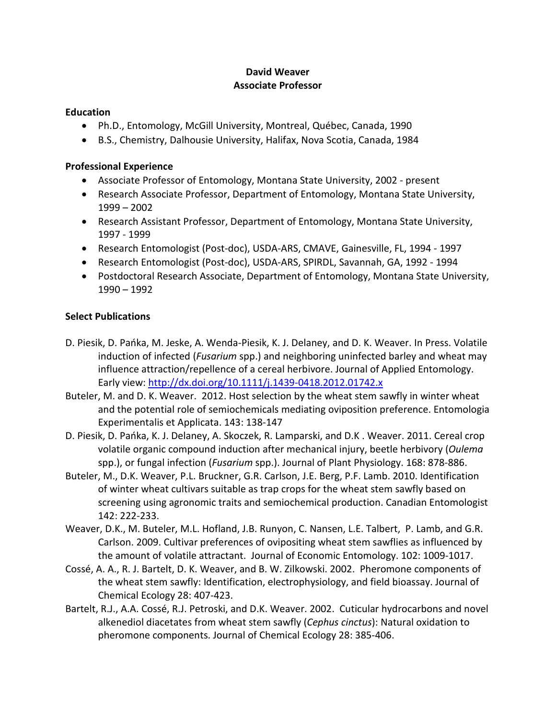## **David Weaver Associate Professor**

### **Education**

- Ph.D., Entomology, McGill University, Montreal, Québec, Canada, 1990
- B.S., Chemistry, Dalhousie University, Halifax, Nova Scotia, Canada, 1984

### **Professional Experience**

- Associate Professor of Entomology, Montana State University, 2002 present
- Research Associate Professor, Department of Entomology, Montana State University, 1999 – 2002
- Research Assistant Professor, Department of Entomology, Montana State University, 1997 - 1999
- Research Entomologist (Post-doc), USDA-ARS, CMAVE, Gainesville, FL, 1994 1997
- Research Entomologist (Post-doc), USDA-ARS, SPIRDL, Savannah, GA, 1992 1994
- Postdoctoral Research Associate, Department of Entomology, Montana State University, 1990 – 1992

## **Select Publications**

- D. Piesik, D. Pańka, M. Jeske, A. Wenda-Piesik, K. J. Delaney, and D. K. Weaver. In Press. Volatile induction of infected (*Fusarium* spp.) and neighboring uninfected barley and wheat may influence attraction/repellence of a cereal herbivore. Journal of Applied Entomology. Early view:<http://dx.doi.org/10.1111/j.1439-0418.2012.01742.x>
- Buteler, M. and D. K. Weaver. 2012. Host selection by the wheat stem sawfly in winter wheat and the potential role of semiochemicals mediating oviposition preference. Entomologia Experimentalis et Applicata. 143: 138-147
- D. Piesik, D. Pańka, K. J. Delaney, A. Skoczek, R. Lamparski, and D.K . Weaver. 2011. Cereal crop volatile organic compound induction after mechanical injury, beetle herbivory (*Oulema* spp.), or fungal infection (*Fusarium* spp.). Journal of Plant Physiology. 168: 878-886.
- Buteler, M., D.K. Weaver, P.L. Bruckner, G.R. Carlson, J.E. Berg, P.F. Lamb. 2010. Identification of winter wheat cultivars suitable as trap crops for the wheat stem sawfly based on screening using agronomic traits and semiochemical production. Canadian Entomologist 142: 222-233.
- Weaver, D.K., M. Buteler, M.L. Hofland, J.B. Runyon, C. Nansen, L.E. Talbert, P. Lamb, and G.R. Carlson. 2009. Cultivar preferences of ovipositing wheat stem sawflies as influenced by the amount of volatile attractant. Journal of Economic Entomology. 102: 1009-1017.
- Cossé, A. A., R. J. Bartelt, D. K. Weaver, and B. W. Zilkowski. 2002. Pheromone components of the wheat stem sawfly: Identification, electrophysiology, and field bioassay. Journal of Chemical Ecology 28: 407-423.
- Bartelt, R.J., A.A. Cossé, R.J. Petroski, and D.K. Weaver. 2002. Cuticular hydrocarbons and novel alkenediol diacetates from wheat stem sawfly (*Cephus cinctus*): Natural oxidation to pheromone components. Journal of Chemical Ecology 28: 385-406.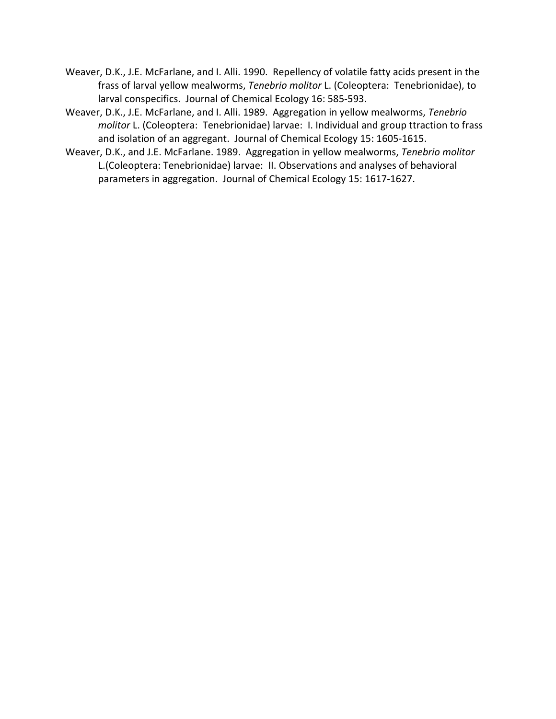- Weaver, D.K., J.E. McFarlane, and I. Alli. 1990. Repellency of volatile fatty acids present in the frass of larval yellow mealworms, *Tenebrio molitor* L. (Coleoptera: Tenebrionidae), to larval conspecifics. Journal of Chemical Ecology 16: 585-593.
- Weaver, D.K., J.E. McFarlane, and I. Alli. 1989. Aggregation in yellow mealworms, *Tenebrio molitor* L. (Coleoptera: Tenebrionidae) larvae: I. Individual and group ttraction to frass and isolation of an aggregant. Journal of Chemical Ecology 15: 1605-1615.
- Weaver, D.K., and J.E. McFarlane. 1989. Aggregation in yellow mealworms, *Tenebrio molitor* L.(Coleoptera: Tenebrionidae) larvae: II. Observations and analyses of behavioral parameters in aggregation. Journal of Chemical Ecology 15: 1617-1627.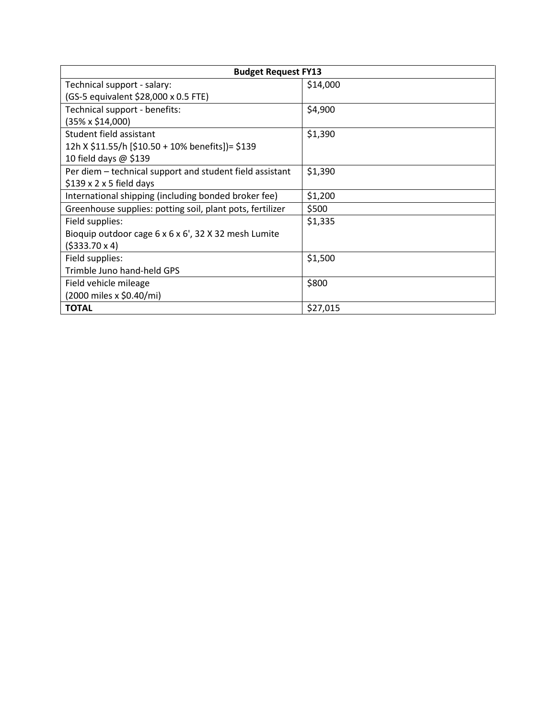| <b>Budget Request FY13</b>                                |          |
|-----------------------------------------------------------|----------|
| Technical support - salary:                               | \$14,000 |
| (GS-5 equivalent \$28,000 x 0.5 FTE)                      |          |
| Technical support - benefits:                             | \$4,900  |
| (35% x \$14,000)                                          |          |
| Student field assistant                                   | \$1,390  |
| 12h X \$11.55/h [\$10.50 + 10% benefits])= \$139          |          |
| 10 field days $\omega$ \$139                              |          |
| Per diem - technical support and student field assistant  | \$1,390  |
| $$139 \times 2 \times 5$ field days                       |          |
| International shipping (including bonded broker fee)      | \$1,200  |
| Greenhouse supplies: potting soil, plant pots, fertilizer | \$500    |
| Field supplies:                                           | \$1,335  |
| Bioquip outdoor cage 6 x 6 x 6', 32 X 32 mesh Lumite      |          |
| $(5333.70 \times 4)$                                      |          |
| Field supplies:                                           | \$1,500  |
| Trimble Juno hand-held GPS                                |          |
| Field vehicle mileage                                     | \$800    |
| (2000 miles x \$0.40/mi)                                  |          |
| <b>TOTAL</b>                                              | \$27,015 |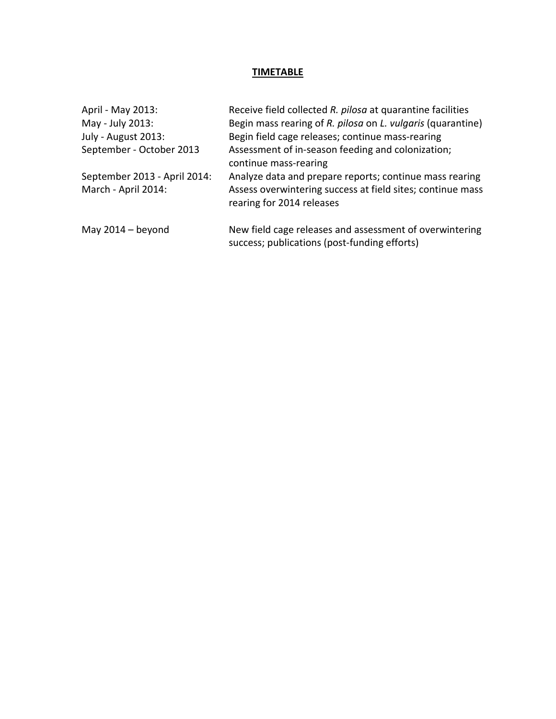# **TIMETABLE**

| April - May 2013:            | Receive field collected R. pilosa at quarantine facilities                                              |
|------------------------------|---------------------------------------------------------------------------------------------------------|
| May - July 2013:             | Begin mass rearing of R. pilosa on L. vulgaris (quarantine)                                             |
| July - August 2013:          | Begin field cage releases; continue mass-rearing                                                        |
| September - October 2013     | Assessment of in-season feeding and colonization;<br>continue mass-rearing                              |
| September 2013 - April 2014: | Analyze data and prepare reports; continue mass rearing                                                 |
| March - April 2014:          | Assess overwintering success at field sites; continue mass<br>rearing for 2014 releases                 |
| May 2014 – beyond            | New field cage releases and assessment of overwintering<br>success; publications (post-funding efforts) |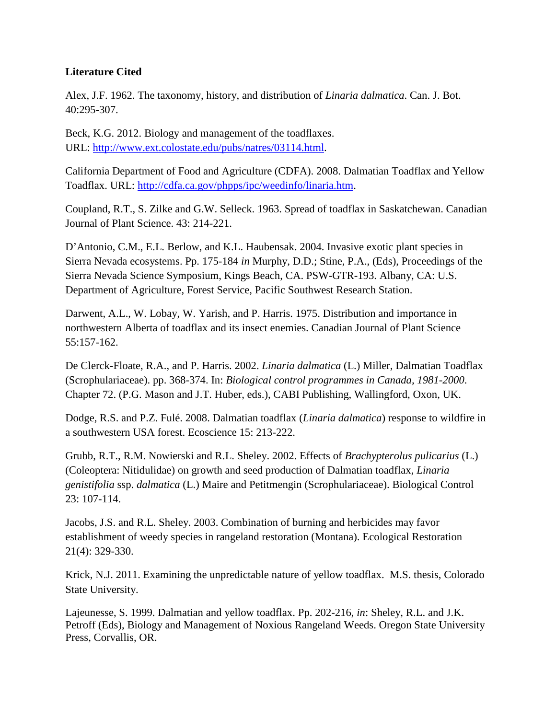## **Literature Cited**

Alex, J.F. 1962. The taxonomy, history, and distribution of *Linaria dalmatica*. Can. J. Bot. 40:295-307.

Beck, K.G. 2012. Biology and management of the toadflaxes. URL: [http://www.ext.colostate.edu/pubs/natres/03114.html.](http://www.ext.colostate.edu/pubs/natres/03114.html)

California Department of Food and Agriculture (CDFA). 2008. Dalmatian Toadflax and Yellow Toadflax. URL: http://cdfa.ca.gov/phpps/ipc/weedinfo/linaria.htm.

Coupland, R.T., S. Zilke and G.W. Selleck. 1963. Spread of toadflax in Saskatchewan. Canadian Journal of Plant Science. 43: 214-221.

D'Antonio, C.M., E.L. Berlow, and K.L. Haubensak. 2004. Invasive exotic plant species in Sierra Nevada ecosystems. Pp. 175-184 *in* Murphy, D.D.; Stine, P.A., (Eds), Proceedings of the Sierra Nevada Science Symposium, Kings Beach, CA. PSW-GTR-193. Albany, CA: U.S. Department of Agriculture, Forest Service, Pacific Southwest Research Station.

Darwent, A.L., W. Lobay, W. Yarish, and P. Harris. 1975. Distribution and importance in northwestern Alberta of toadflax and its insect enemies. Canadian Journal of Plant Science 55:157-162.

De Clerck-Floate, R.A., and P. Harris. 2002. *Linaria dalmatica* (L.) Miller, Dalmatian Toadflax (Scrophulariaceae). pp. 368-374. In: *Biological control programmes in Canada, 1981-2000*. Chapter 72. (P.G. Mason and J.T. Huber, eds.), CABI Publishing, Wallingford, Oxon, UK.

Dodge, R.S. and P.Z. Fulé. 2008. Dalmatian toadflax (*Linaria dalmatica*) response to wildfire in a southwestern USA forest. Ecoscience 15: 213-222.

Grubb, R.T., R.M. Nowierski and R.L. Sheley. 2002. Effects of *Brachypterolus pulicarius* (L.) (Coleoptera: Nitidulidae) on growth and seed production of Dalmatian toadflax, *Linaria genistifolia* ssp. *dalmatica* (L.) Maire and Petitmengin (Scrophulariaceae). Biological Control 23: 107-114.

Jacobs, J.S. and R.L. Sheley. 2003. Combination of burning and herbicides may favor establishment of weedy species in rangeland restoration (Montana). Ecological Restoration 21(4): 329-330.

Krick, N.J. 2011. Examining the unpredictable nature of yellow toadflax. M.S. thesis, Colorado State University.

Lajeunesse, S. 1999. Dalmatian and yellow toadflax. Pp. 202-216, *in*: Sheley, R.L. and J.K. Petroff (Eds), Biology and Management of Noxious Rangeland Weeds. Oregon State University Press, Corvallis, OR.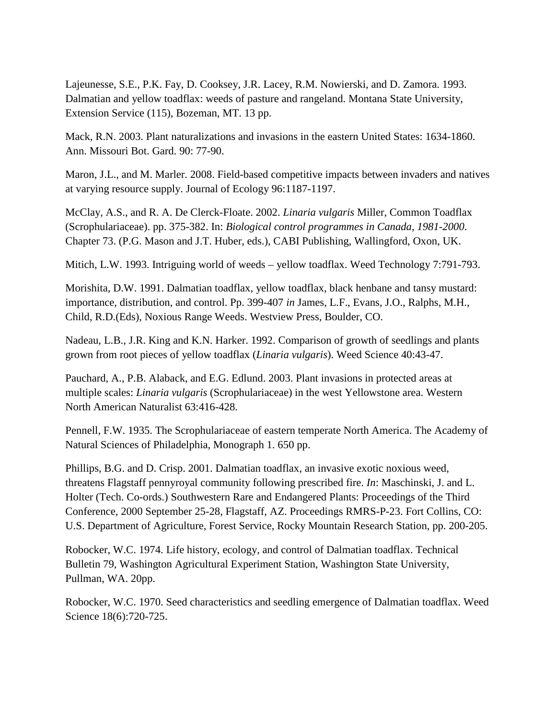Lajeunesse, S.E., P.K. Fay, D. Cooksey, J.R. Lacey, R.M. Nowierski, and D. Zamora. 1993. Dalmatian and yellow toadflax: weeds of pasture and rangeland. Montana State University, Extension Service (115), Bozeman, MT. 13 pp.

Mack, R.N. 2003. Plant naturalizations and invasions in the eastern United States: 1634-1860. Ann. Missouri Bot. Gard. 90: 77-90.

Maron, J.L., and M. Marler. 2008. Field-based competitive impacts between invaders and natives at varying resource supply. Journal of Ecology 96:1187-1197.

McClay, A.S., and R. A. De Clerck-Floate. 2002. *Linaria vulgaris* Miller, Common Toadflax (Scrophulariaceae). pp. 375-382. In: *Biological control programmes in Canada, 1981-2000*. Chapter 73. (P.G. Mason and J.T. Huber, eds.), CABI Publishing, Wallingford, Oxon, UK.

Mitich, L.W. 1993. Intriguing world of weeds – yellow toadflax. Weed Technology 7:791-793.

Morishita, D.W. 1991. Dalmatian toadflax, yellow toadflax, black henbane and tansy mustard: importance, distribution, and control. Pp. 399-407 *in* James, L.F., Evans, J.O., Ralphs, M.H., Child, R.D.(Eds), Noxious Range Weeds. Westview Press, Boulder, CO.

Nadeau, L.B., J.R. King and K.N. Harker. 1992. Comparison of growth of seedlings and plants grown from root pieces of yellow toadflax (*Linaria vulgaris*). Weed Science 40:43-47.

Pauchard, A., P.B. Alaback, and E.G. Edlund. 2003. Plant invasions in protected areas at multiple scales: *Linaria vulgaris* (Scrophulariaceae) in the west Yellowstone area. Western North American Naturalist 63:416-428.

Pennell, F.W. 1935. The Scrophulariaceae of eastern temperate North America. The Academy of Natural Sciences of Philadelphia, Monograph 1. 650 pp.

Phillips, B.G. and D. Crisp. 2001. Dalmatian toadflax, an invasive exotic noxious weed, threatens Flagstaff pennyroyal community following prescribed fire. *In*: Maschinski, J. and L. Holter (Tech. Co-ords.) Southwestern Rare and Endangered Plants: Proceedings of the Third Conference, 2000 September 25-28, Flagstaff, AZ. Proceedings RMRS-P-23. Fort Collins, CO: U.S. Department of Agriculture, Forest Service, Rocky Mountain Research Station, pp. 200-205.

Robocker, W.C. 1974. Life history, ecology, and control of Dalmatian toadflax. Technical Bulletin 79, Washington Agricultural Experiment Station, Washington State University, Pullman, WA. 20pp.

Robocker, W.C. 1970. Seed characteristics and seedling emergence of Dalmatian toadflax. Weed Science 18(6):720-725.